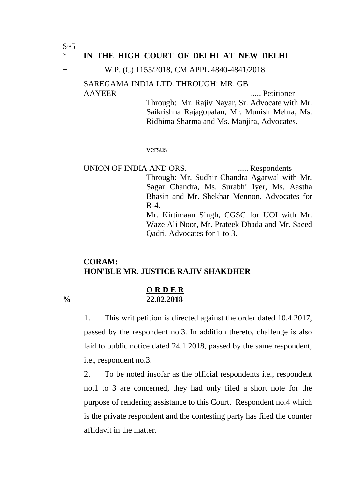$S~5$ 

### \* **IN THE HIGH COURT OF DELHI AT NEW DELHI**

#### + W.P. (C) 1155/2018, CM APPL.4840-4841/2018

## SAREGAMA INDIA LTD. THROUGH: MR. GB AAYEER Petitioner

Through: Mr. Rajiv Nayar, Sr. Advocate with Mr. Saikrishna Rajagopalan, Mr. Munish Mehra, Ms. Ridhima Sharma and Ms. Manjira, Advocates.

versus

UNION OF INDIA AND ORS. ...... Respondents Through: Mr. Sudhir Chandra Agarwal with Mr. Sagar Chandra, Ms. Surabhi Iyer, Ms. Aastha Bhasin and Mr. Shekhar Mennon, Advocates for  $R-4$ . Mr. Kirtimaan Singh, CGSC for UOI with Mr. Waze Ali Noor, Mr. Prateek Dhada and Mr. Saeed Qadri, Advocates for 1 to 3.

# **CORAM: HON'BLE MR. JUSTICE RAJIV SHAKDHER**

#### **O R D E R % 22.02.2018**

1. This writ petition is directed against the order dated 10.4.2017, passed by the respondent no.3. In addition thereto, challenge is also laid to public notice dated 24.1.2018, passed by the same respondent, i.e., respondent no.3.

2. To be noted insofar as the official respondents i.e., respondent no.1 to 3 are concerned, they had only filed a short note for the purpose of rendering assistance to this Court. Respondent no.4 which is the private respondent and the contesting party has filed the counter affidavit in the matter.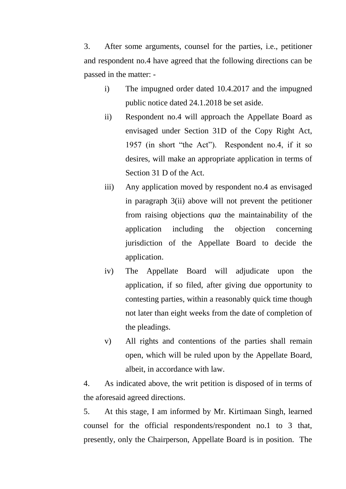3. After some arguments, counsel for the parties, i.e., petitioner and respondent no.4 have agreed that the following directions can be passed in the matter: -

- i) The impugned order dated 10.4.2017 and the impugned public notice dated 24.1.2018 be set aside.
- ii) Respondent no.4 will approach the Appellate Board as envisaged under Section 31D of the Copy Right Act, 1957 (in short "the Act"). Respondent no.4, if it so desires, will make an appropriate application in terms of Section 31 D of the Act.
- iii) Any application moved by respondent no.4 as envisaged in paragraph 3(ii) above will not prevent the petitioner from raising objections *qua* the maintainability of the application including the objection concerning jurisdiction of the Appellate Board to decide the application.
- iv) The Appellate Board will adjudicate upon the application, if so filed, after giving due opportunity to contesting parties, within a reasonably quick time though not later than eight weeks from the date of completion of the pleadings.
- v) All rights and contentions of the parties shall remain open, which will be ruled upon by the Appellate Board, albeit, in accordance with law.

4. As indicated above, the writ petition is disposed of in terms of the aforesaid agreed directions.

5. At this stage, I am informed by Mr. Kirtimaan Singh, learned counsel for the official respondents/respondent no.1 to 3 that, presently, only the Chairperson, Appellate Board is in position. The